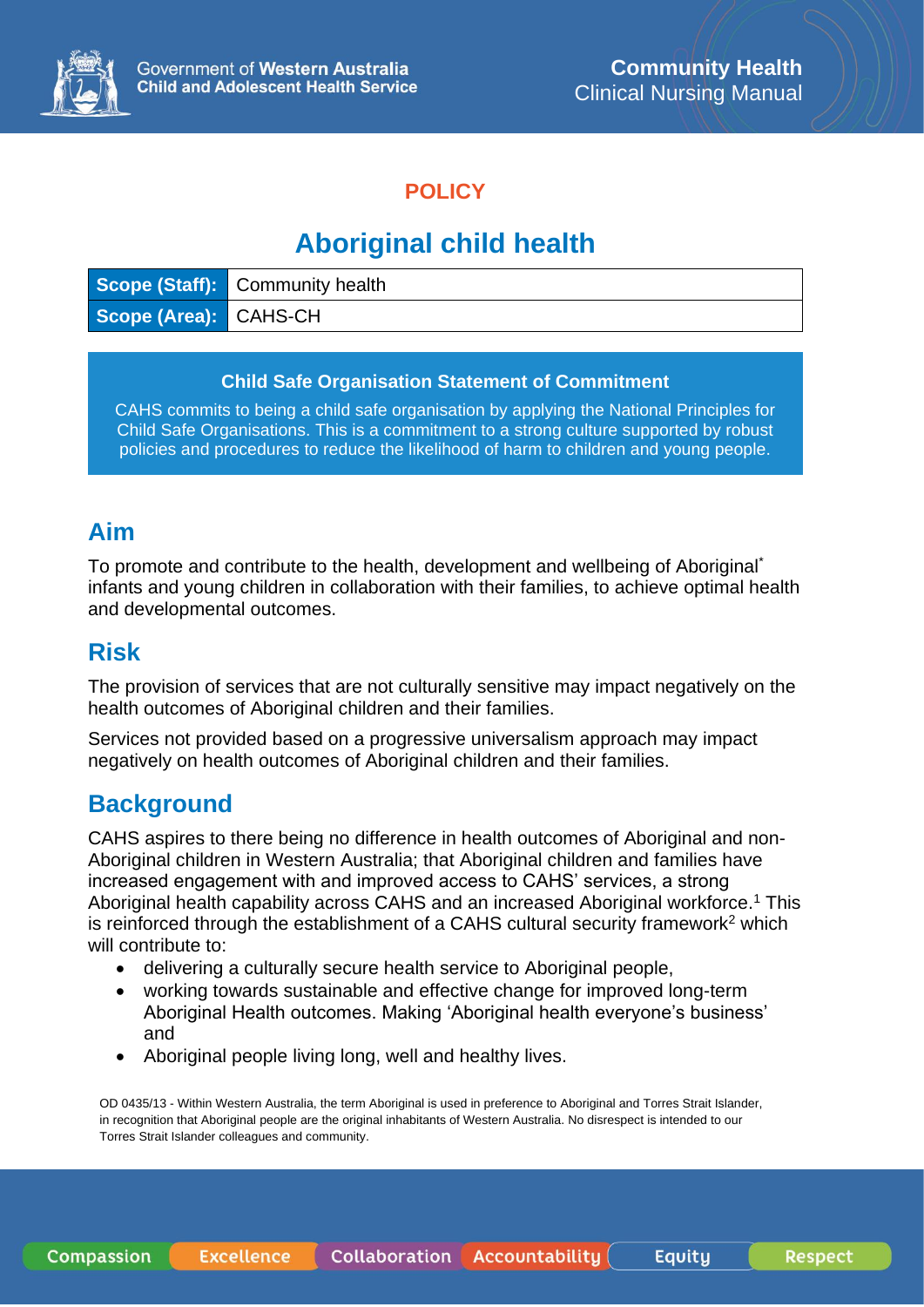

### **POLICY**

# **Aboriginal child health**

|                       | Scope (Staff): Community health |
|-----------------------|---------------------------------|
| Scope (Area): CAHS-CH |                                 |

#### **Child Safe Organisation Statement of Commitment**

CAHS commits to being a child safe organisation by applying the National Principles for Child Safe Organisations. This is a commitment to a strong culture supported by robust policies and procedures to reduce the likelihood of harm to children and young people.

### **Aim**

To promote and contribute to the health, development and wellbeing of Aboriginal\* infants and young children in collaboration with their families, to achieve optimal health and developmental outcomes.

### **Risk**

The provision of services that are not culturally sensitive may impact negatively on the health outcomes of Aboriginal children and their families.

Services not provided based on a progressive universalism approach may impact negatively on health outcomes of Aboriginal children and their families.

### **Background**

CAHS aspires to there being no difference in health outcomes of Aboriginal and non-Aboriginal children in Western Australia; that Aboriginal children and families have increased engagement with and improved access to CAHS' services, a strong Aboriginal health capability across CAHS and an increased Aboriginal workforce.<sup>1</sup> This is reinforced through the establishment of a CAHS cultural security framework<sup>2</sup> which will contribute to:

- delivering a culturally secure health service to Aboriginal people,
- working towards sustainable and effective change for improved long-term Aboriginal Health outcomes. Making 'Aboriginal health everyone's business' and
- Aboriginal people living long, well and healthy lives.

OD 0435/13 - Within Western Australia, the term Aboriginal is used in preference to Aboriginal and Torres Strait Islander, in recognition that Aboriginal people are the original inhabitants of Western Australia. No disrespect is intended to our Torres Strait Islander colleagues and community.

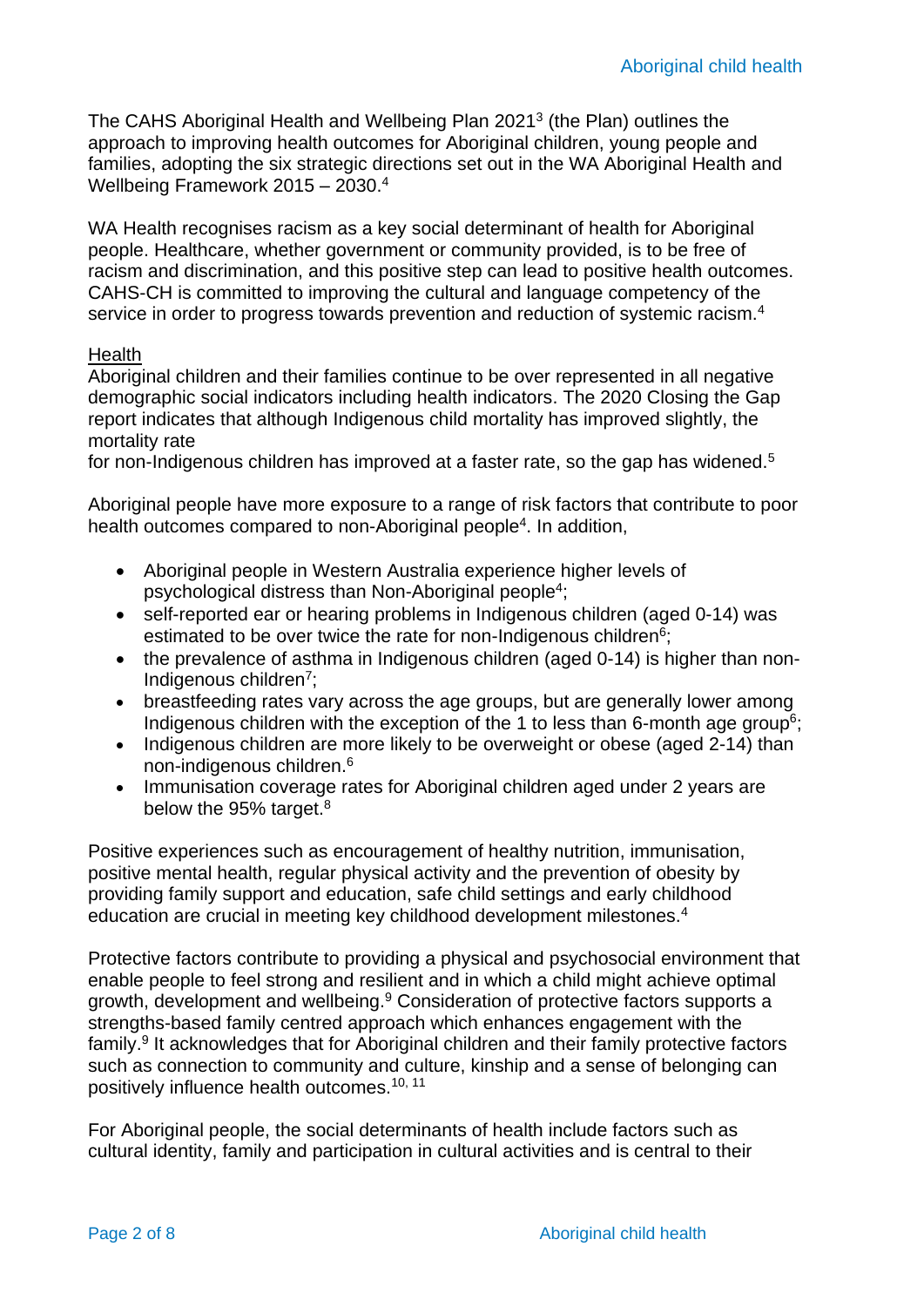The CAHS Aboriginal Health and Wellbeing Plan 2021<sup>3</sup> (the Plan) outlines the approach to improving health outcomes for Aboriginal children, young people and families, adopting the six strategic directions set out in the WA Aboriginal Health and Wellbeing Framework 2015 – 2030.<sup>4</sup>

WA Health recognises racism as a key social determinant of health for Aboriginal people. Healthcare, whether government or community provided, is to be free of racism and discrimination, and this positive step can lead to positive health outcomes. CAHS-CH is committed to improving the cultural and language competency of the service in order to progress towards prevention and reduction of systemic racism.<sup>4</sup>

#### Health

Aboriginal children and their families continue to be over represented in all negative demographic social indicators including health indicators. The 2020 Closing the Gap report indicates that although Indigenous child mortality has improved slightly, the mortality rate

for non-Indigenous children has improved at a faster rate, so the gap has widened.<sup>5</sup>

Aboriginal people have more exposure to a range of risk factors that contribute to poor health outcomes compared to non-Aboriginal people<sup>4</sup>. In addition,

- Aboriginal people in Western Australia experience higher levels of psychological distress than Non-Aboriginal people<sup>4</sup>;
- self-reported ear or hearing problems in Indigenous children (aged 0-14) was estimated to be over twice the rate for non-Indigenous children<sup>6</sup>;
- the prevalence of asthma in Indigenous children (aged 0-14) is higher than non-Indigenous children<sup>7</sup>;
- breastfeeding rates vary across the age groups, but are generally lower among Indigenous children with the exception of the 1 to less than 6-month age group<sup>6</sup>;
- Indigenous children are more likely to be overweight or obese (aged 2-14) than non-indigenous children.<sup>6</sup>
- Immunisation coverage rates for Aboriginal children aged under 2 years are below the 95% target.<sup>8</sup>

Positive experiences such as encouragement of healthy nutrition, immunisation, positive mental health, regular physical activity and the prevention of obesity by providing family support and education, safe child settings and early childhood education are crucial in meeting key childhood development milestones.<sup>4</sup>

Protective factors contribute to providing a physical and psychosocial environment that enable people to feel strong and resilient and in which a child might achieve optimal growth, development and wellbeing.<sup>9</sup> Consideration of protective factors supports a strengths-based family centred approach which enhances engagement with the family.<sup>9</sup> It acknowledges that for Aboriginal children and their family protective factors such as connection to community and culture, kinship and a sense of belonging can positively influence health outcomes.10, 11

For Aboriginal people, the social determinants of health include factors such as cultural identity, family and participation in cultural activities and is central to their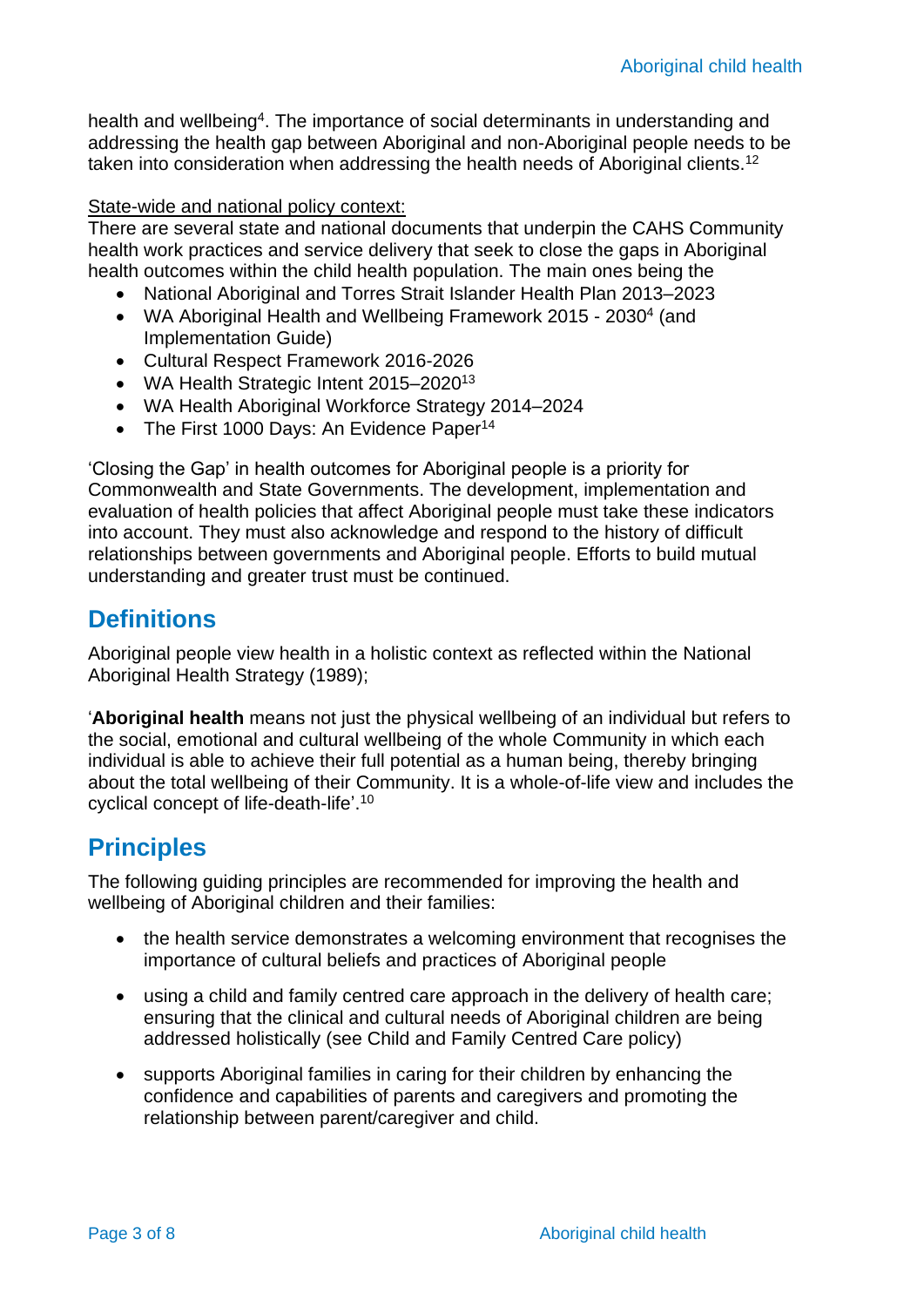health and wellbeing<sup>4</sup>. The importance of social determinants in understanding and addressing the health gap between Aboriginal and non-Aboriginal people needs to be taken into consideration when addressing the health needs of Aboriginal clients.<sup>12</sup>

#### State-wide and national policy context:

There are several state and national documents that underpin the CAHS Community health work practices and service delivery that seek to close the gaps in Aboriginal health outcomes within the child health population. The main ones being the

- National Aboriginal and Torres Strait Islander Health Plan 2013–2023
- WA Aboriginal Health and Wellbeing Framework 2015 2030<sup>4</sup> (and Implementation Guide)
- Cultural Respect Framework 2016-2026
- WA Health Strategic Intent 2015–2020<sup>13</sup>
- WA Health Aboriginal Workforce Strategy 2014–2024
- The First 1000 Days: An Evidence Paper<sup>14</sup>

'Closing the Gap' in health outcomes for Aboriginal people is a priority for Commonwealth and State Governments. The development, implementation and evaluation of health policies that affect Aboriginal people must take these indicators into account. They must also acknowledge and respond to the history of difficult relationships between governments and Aboriginal people. Efforts to build mutual understanding and greater trust must be continued.

### **Definitions**

Aboriginal people view health in a holistic context as reflected within the National Aboriginal Health Strategy (1989);

'**Aboriginal health** means not just the physical wellbeing of an individual but refers to the social, emotional and cultural wellbeing of the whole Community in which each individual is able to achieve their full potential as a human being, thereby bringing about the total wellbeing of their Community. It is a whole-of-life view and includes the cyclical concept of life-death-life'. 10

### **Principles**

The following guiding principles are recommended for improving the health and wellbeing of Aboriginal children and their families:

- the health service demonstrates a welcoming environment that recognises the importance of cultural beliefs and practices of Aboriginal people
- using a child and family centred care approach in the delivery of health care; ensuring that the clinical and cultural needs of Aboriginal children are being addressed holistically (see Child and Family Centred Care policy)
- supports Aboriginal families in caring for their children by enhancing the confidence and capabilities of parents and caregivers and promoting the relationship between parent/caregiver and child.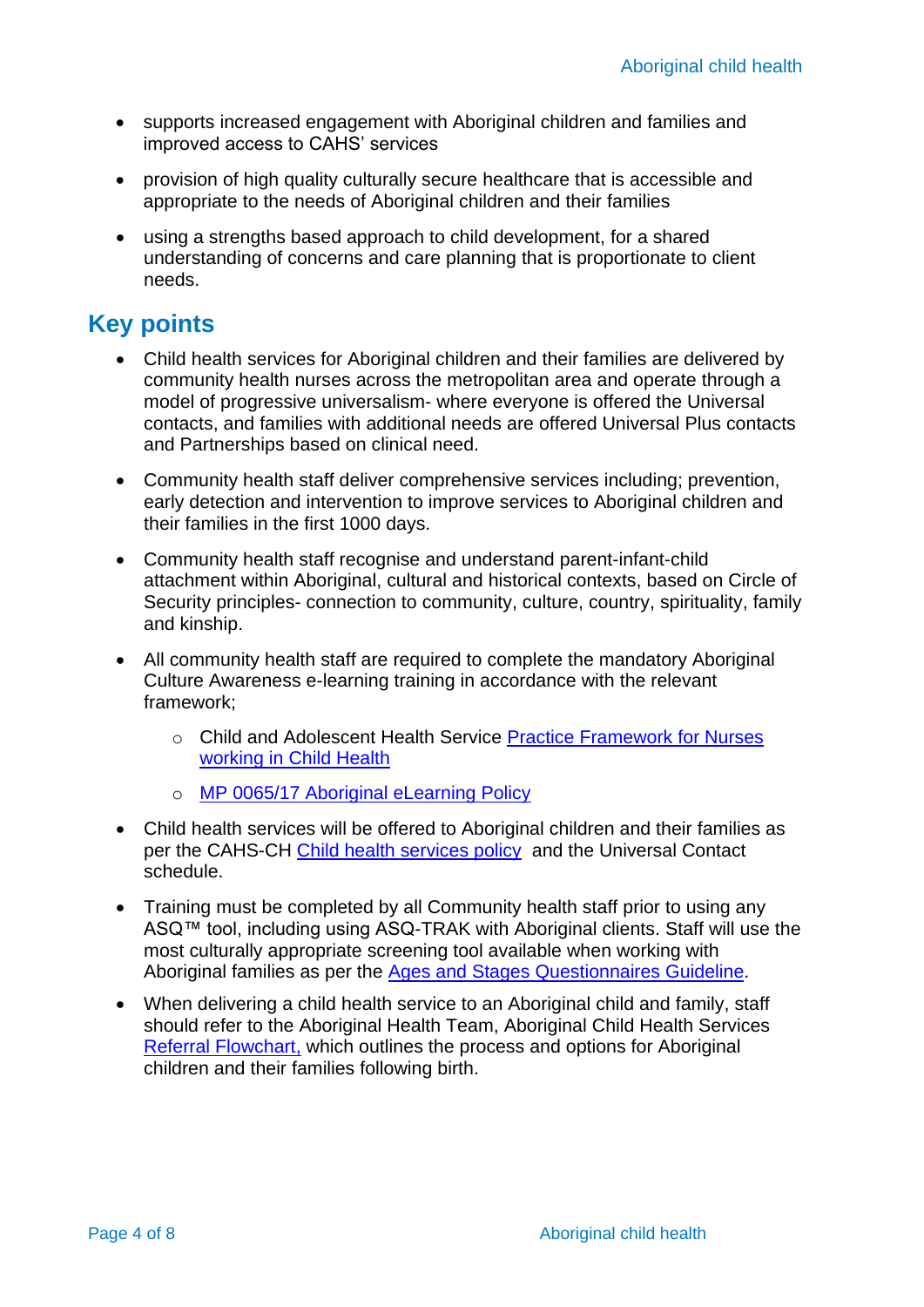- supports increased engagement with Aboriginal children and families and improved access to CAHS' services
- provision of high quality culturally secure healthcare that is accessible and appropriate to the needs of Aboriginal children and their families
- using a strengths based approach to child development, for a shared understanding of concerns and care planning that is proportionate to client needs.

## **Key points**

- Child health services for Aboriginal children and their families are delivered by community health nurses across the metropolitan area and operate through a model of progressive universalism- where everyone is offered the Universal contacts, and families with additional needs are offered Universal Plus contacts and Partnerships based on clinical need.
- Community health staff deliver comprehensive services including; prevention, early detection and intervention to improve services to Aboriginal children and their families in the first 1000 days.
- Community health staff recognise and understand parent-infant-child attachment within Aboriginal, cultural and historical contexts, based on Circle of Security principles- connection to community, culture, country, spirituality, family and kinship.
- All community health staff are required to complete the mandatory Aboriginal Culture Awareness e-learning training in accordance with the relevant framework;
	- o Child and Adolescent Health Service Practice Framework for Nurses [working in Child Health](https://cahs-healthpoint.hdwa.health.wa.gov.au/cach/LearningandDevelopment/My-Learning/Documents/Frameworks/Practice%20Framework%20-%20Nurses%20working%20in%20Child%20Health.pdf)
	- o [MP 0065/17 Aboriginal eLearning Policy](https://ww2.health.wa.gov.au/About-us/Policy-frameworks/Employment/Mandatory-requirements/Human-Resource-Management/WA-health-system-policies/Aboriginal-Cultural-eLearning-Policy)
- Child health services will be offered to Aboriginal children and their families as per the CAHS-CH [Child health services policy](https://healthpoint.hdwa.health.wa.gov.au/policies/Policies/CAHS/CACH.CH.ChildHealthServicesPolicy.pdf) and the Universal Contact schedule.
- Training must be completed by all Community health staff prior to using any ASQ™ tool, including using ASQ-TRAK with Aboriginal clients. Staff will use the most culturally appropriate screening tool available when working with Aboriginal families as per the [Ages and Stages Questionnaires Guideline.](https://healthpoint.hdwa.health.wa.gov.au/policies/Policies/CAHS/CACH.CHSH.AgesAndStagesQuestionnaires.pdf)
- When delivering a child health service to an Aboriginal child and family, staff should refer to the Aboriginal Health Team, Aboriginal Child Health Services [Referral Flowchart,](https://cahs-healthpoint.hdwa.health.wa.gov.au/cach/About-Us/Aboriginal-Health-Team/Documents/AHT_Referral_Flowchart.pdf) which outlines the process and options for Aboriginal children and their families following birth.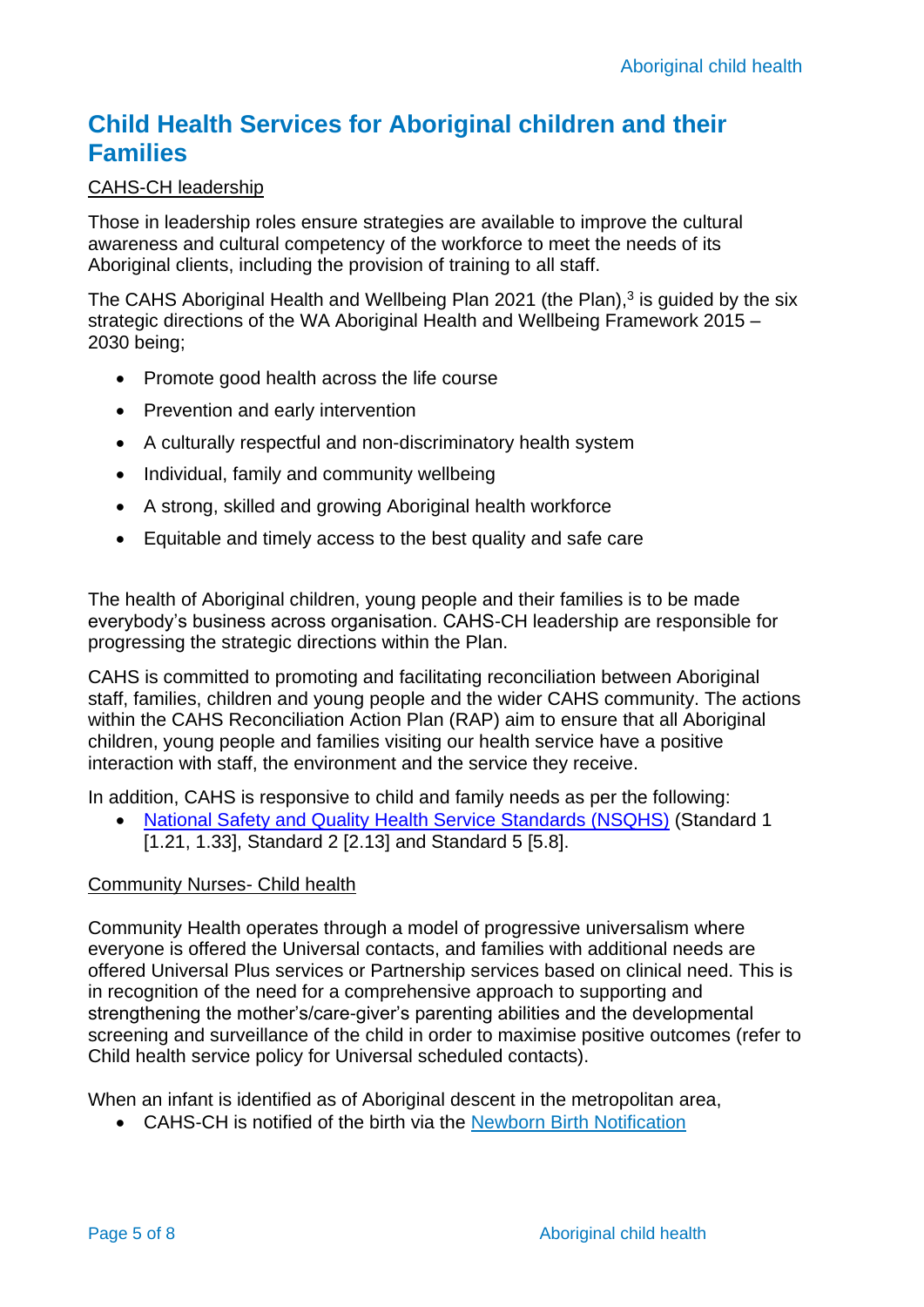### **Child Health Services for Aboriginal children and their Families**

#### CAHS-CH leadership

Those in leadership roles ensure strategies are available to improve the cultural awareness and cultural competency of the workforce to meet the needs of its Aboriginal clients, including the provision of training to all staff.

The CAHS Aboriginal Health and Wellbeing Plan 2021 (the Plan), $3$  is guided by the six strategic directions of the WA Aboriginal Health and Wellbeing Framework 2015 – 2030 being;

- Promote good health across the life course
- Prevention and early intervention
- A culturally respectful and non-discriminatory health system
- Individual, family and community wellbeing
- A strong, skilled and growing Aboriginal health workforce
- Equitable and timely access to the best quality and safe care

The health of Aboriginal children, young people and their families is to be made everybody's business across organisation. CAHS-CH leadership are responsible for progressing the strategic directions within the Plan.

CAHS is committed to promoting and facilitating reconciliation between Aboriginal staff, families, children and young people and the wider CAHS community. The actions within the CAHS Reconciliation Action Plan (RAP) aim to ensure that all Aboriginal children, young people and families visiting our health service have a positive interaction with staff, the environment and the service they receive.

In addition, CAHS is responsive to child and family needs as per the following:

• [National Safety and Quality Health Service Standards \(NSQHS\)](https://www.safetyandquality.gov.au/sites/default/files/migrated/National-Safety-and-Quality-Health-Service-Standards-second-edition.pdf) (Standard 1 [1.21, 1.33], Standard 2 [2.13] and Standard 5 [5.8].

#### Community Nurses- Child health

Community Health operates through a model of progressive universalism where everyone is offered the Universal contacts, and families with additional needs are offered Universal Plus services or Partnership services based on clinical need. This is in recognition of the need for a comprehensive approach to supporting and strengthening the mother's/care-giver's parenting abilities and the developmental screening and surveillance of the child in order to maximise positive outcomes (refer to Child health service policy for Universal scheduled contacts).

When an infant is identified as of Aboriginal descent in the metropolitan area,

• CAHS-CH is notified of the birth via the [Newborn Birth Notification](http://ww2.health.wa.gov.au/Articles/N_R/Notification-of-birth-events-and-cases-attended-by-midwives)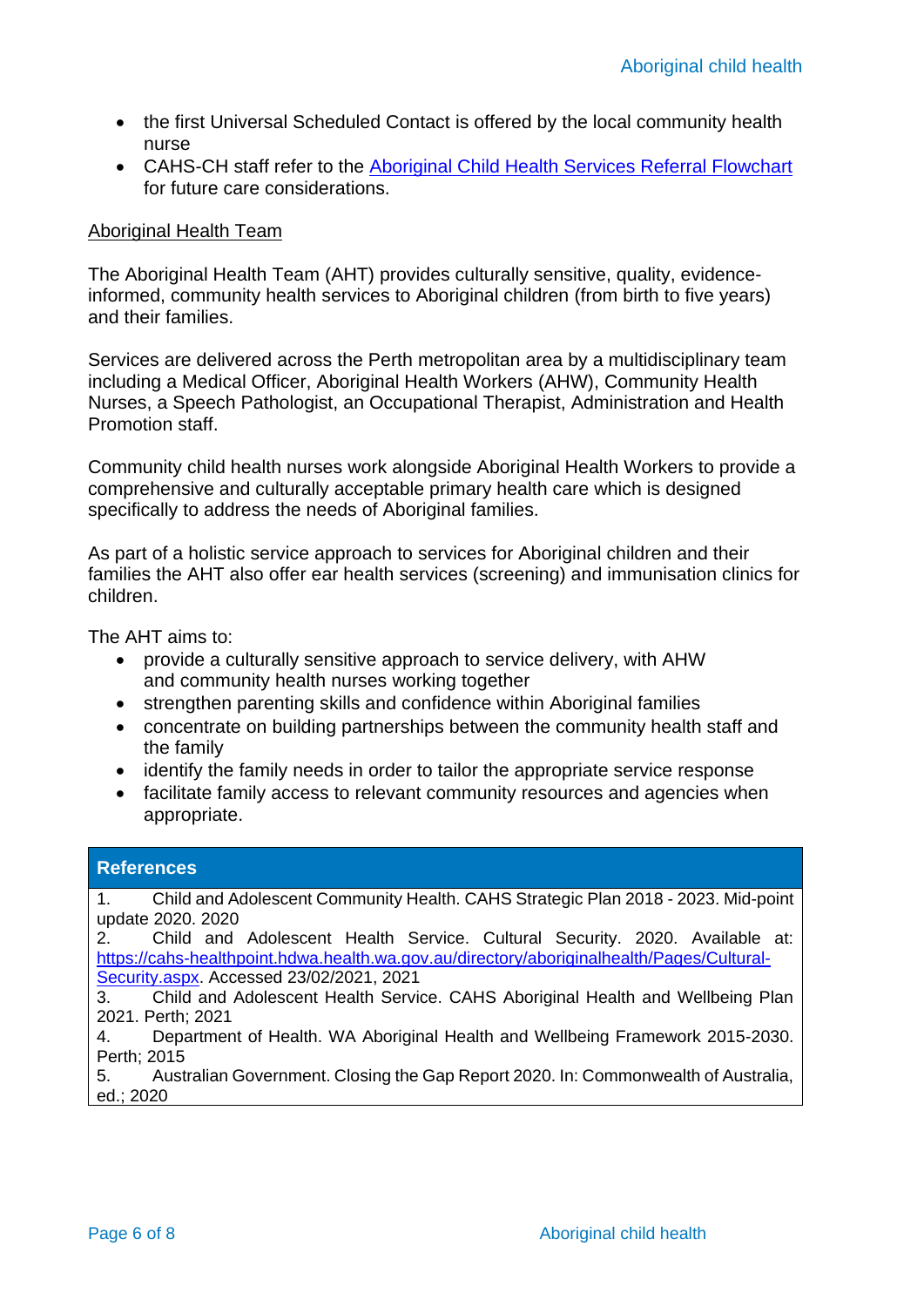- the first Universal Scheduled Contact is offered by the local community health nurse
- CAHS-CH staff refer to the [Aboriginal Child Health Services Referral Flowchart](https://cahs-healthpoint.hdwa.health.wa.gov.au/cach/About-Us/Aboriginal-Health-Team/Documents/AHT_Referral_Flowchart.pdf) for future care considerations.

#### Aboriginal Health Team

The Aboriginal Health Team (AHT) provides culturally sensitive, quality, evidenceinformed, community health services to Aboriginal children (from birth to five years) and their families.

Services are delivered across the Perth metropolitan area by a multidisciplinary team including a Medical Officer, Aboriginal Health Workers (AHW), Community Health Nurses, a Speech Pathologist, an Occupational Therapist, Administration and Health Promotion staff.

Community child health nurses work alongside Aboriginal Health Workers to provide a comprehensive and culturally acceptable primary health care which is designed specifically to address the needs of Aboriginal families.

As part of a holistic service approach to services for Aboriginal children and their families the AHT also offer ear health services (screening) and immunisation clinics for children.

The AHT aims to:

- provide a culturally sensitive approach to service delivery, with AHW and community health nurses working together
- strengthen parenting skills and confidence within Aboriginal families
- concentrate on building partnerships between the community health staff and the family
- identify the family needs in order to tailor the appropriate service response
- facilitate family access to relevant community resources and agencies when appropriate.

| <b>References</b>                                                                                            |  |  |  |  |  |  |
|--------------------------------------------------------------------------------------------------------------|--|--|--|--|--|--|
| Child and Adolescent Community Health. CAHS Strategic Plan 2018 - 2023. Mid-point<br>1.<br>update 2020. 2020 |  |  |  |  |  |  |
| Child and Adolescent Health Service. Cultural Security. 2020. Available at:<br>$2^{\circ}$                   |  |  |  |  |  |  |
| https://cahs-healthpoint.hdwa.health.wa.gov.au/directory/aboriginalhealth/Pages/Cultural-                    |  |  |  |  |  |  |
| Security.aspx. Accessed 23/02/2021, 2021                                                                     |  |  |  |  |  |  |
| Child and Adolescent Health Service. CAHS Aboriginal Health and Wellbeing Plan<br>3.                         |  |  |  |  |  |  |
| 2021. Perth; 2021                                                                                            |  |  |  |  |  |  |
| Department of Health. WA Aboriginal Health and Wellbeing Framework 2015-2030.<br>4.                          |  |  |  |  |  |  |
| Perth; 2015                                                                                                  |  |  |  |  |  |  |
| Australian Government. Closing the Gap Report 2020. In: Commonwealth of Australia,<br>5.                     |  |  |  |  |  |  |
| ed.; 2020                                                                                                    |  |  |  |  |  |  |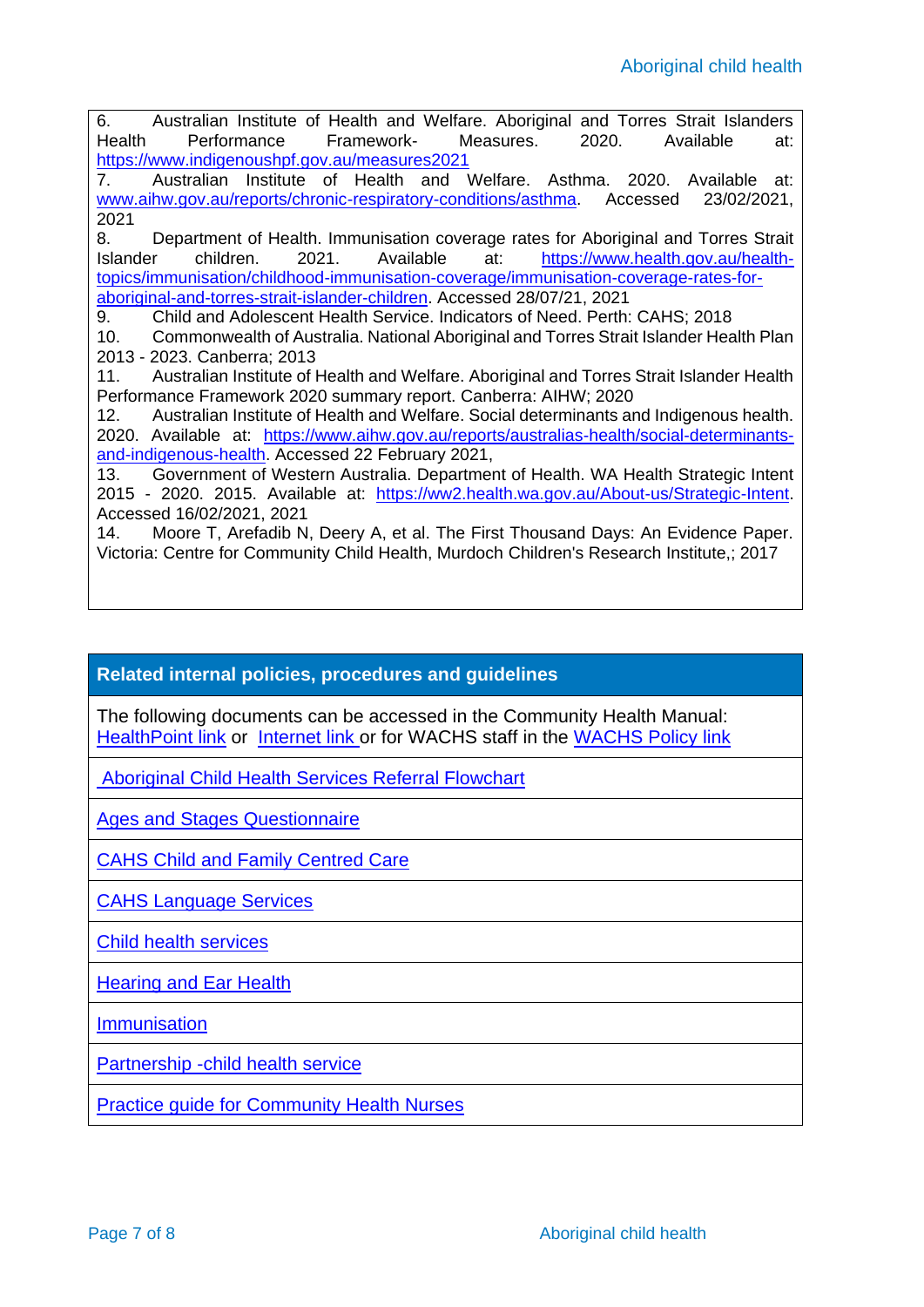6. Australian Institute of Health and Welfare. Aboriginal and Torres Strait Islanders Health Performance Framework- Measures. 2020. Available at: <https://www.indigenoushpf.gov.au/measures2021> 7. Australian Institute of Health and Welfare. Asthma. 2020. Available at: [www.aihw.gov.au/reports/chronic-respiratory-conditions/asthma.](file:///C:/Users/HE78854/AppData/Local/Microsoft/Windows/INetCache/Content.Outlook/ECR7DN83/www.aihw.gov.au/reports/chronic-respiratory-conditions/asthma) Accessed 23/02/2021, 2021 8. Department of Health. Immunisation coverage rates for Aboriginal and Torres Strait Islander children. 2021. Available at: [https://www.health.gov.au/health](https://www.health.gov.au/health-topics/immunisation/childhood-immunisation-coverage/immunisation-coverage-rates-for-aboriginal-and-torres-strait-islander-children)[topics/immunisation/childhood-immunisation-coverage/immunisation-coverage-rates-for](https://www.health.gov.au/health-topics/immunisation/childhood-immunisation-coverage/immunisation-coverage-rates-for-aboriginal-and-torres-strait-islander-children)[aboriginal-and-torres-strait-islander-children.](https://www.health.gov.au/health-topics/immunisation/childhood-immunisation-coverage/immunisation-coverage-rates-for-aboriginal-and-torres-strait-islander-children) Accessed 28/07/21, 2021 9. Child and Adolescent Health Service. Indicators of Need. Perth: CAHS; 2018 10. Commonwealth of Australia. National Aboriginal and Torres Strait Islander Health Plan 2013 - 2023. Canberra; 2013 11. Australian Institute of Health and Welfare. Aboriginal and Torres Strait Islander Health Performance Framework 2020 summary report. Canberra: AIHW; 2020 12. Australian Institute of Health and Welfare. Social determinants and Indigenous health. 2020. Available at: [https://www.aihw.gov.au/reports/australias-health/social-determinants](https://www.aihw.gov.au/reports/australias-health/social-determinants-and-indigenous-health)[and-indigenous-health.](https://www.aihw.gov.au/reports/australias-health/social-determinants-and-indigenous-health) Accessed 22 February 2021, 13. Government of Western Australia. Department of Health. WA Health Strategic Intent 2015 - 2020. 2015. Available at: [https://ww2.health.wa.gov.au/About-us/Strategic-Intent.](https://ww2.health.wa.gov.au/About-us/Strategic-Intent) Accessed 16/02/2021, 2021 14. Moore T, Arefadib N, Deery A, et al. The First Thousand Days: An Evidence Paper. Victoria: Centre for Community Child Health, Murdoch Children's Research Institute,; 2017

### **Related internal policies, procedures and guidelines**

The following documents can be accessed in the Community Health Manual: [HealthPoint link](https://healthpoint.hdwa.health.wa.gov.au/policies/Pages/CACH-Community-Health.aspx) or [Internet link](https://www.cahs.health.wa.gov.au/en/For-health-professionals/Resources/Community-Health-Clinical-Nursing-Manual) or for WACHS staff in the [WACHS Policy link](https://healthpoint.hdwa.health.wa.gov.au/policies/Pages/WACHS%20Policy%20Pages/WACHS-Policies.aspx)

[Aboriginal Child Health Services Referral Flowchart](https://cahs-healthpoint.hdwa.health.wa.gov.au/cach/About-Us/Aboriginal-Health-Team/Documents/AHT_Referral_Flowchart.pdf)

[Ages and Stages Questionnaire](https://healthpoint.hdwa.health.wa.gov.au/policies/Policies/CAHS/CACH.CHSH.AgesAndStagesQuestionnaires.pdf)

[CAHS Child and Family Centred Care](https://healthpoint.hdwa.health.wa.gov.au/policies/Policies/CAHS/CAHS.PM.ChildAndFamilyCentredCare.pdf)

[CAHS Language Services](https://healthpoint.hdwa.health.wa.gov.au/policies/Policies/CAHS/CAHS.PM.LanguageServices.pdf)

[Child health services](https://healthpoint.hdwa.health.wa.gov.au/policies/Policies/CAHS/CACH.CH.ChildHealthServicesPolicy.pdf)

[Hearing and Ear Health](https://healthpoint.hdwa.health.wa.gov.au/policies/Policies/CAHS/CACH.CHSH.HearingAndEarHealthGuideline.pdf)

**[Immunisation](https://healthpoint.hdwa.health.wa.gov.au/policies/Policies/CAHS/CACH.CHSH.Immunisation.pdf)** 

[Partnership -child health service](https://healthpoint.hdwa.health.wa.gov.au/policies/Policies/CAHS/CACH.CH.PartnershipChildHealthService.pdf)

[Practice guide for Community Health Nurses](https://cahs-healthpoint.hdwa.health.wa.gov.au/cach/resources/Child%20Health/CAH-000912_practice_guide_FNL.pdf)